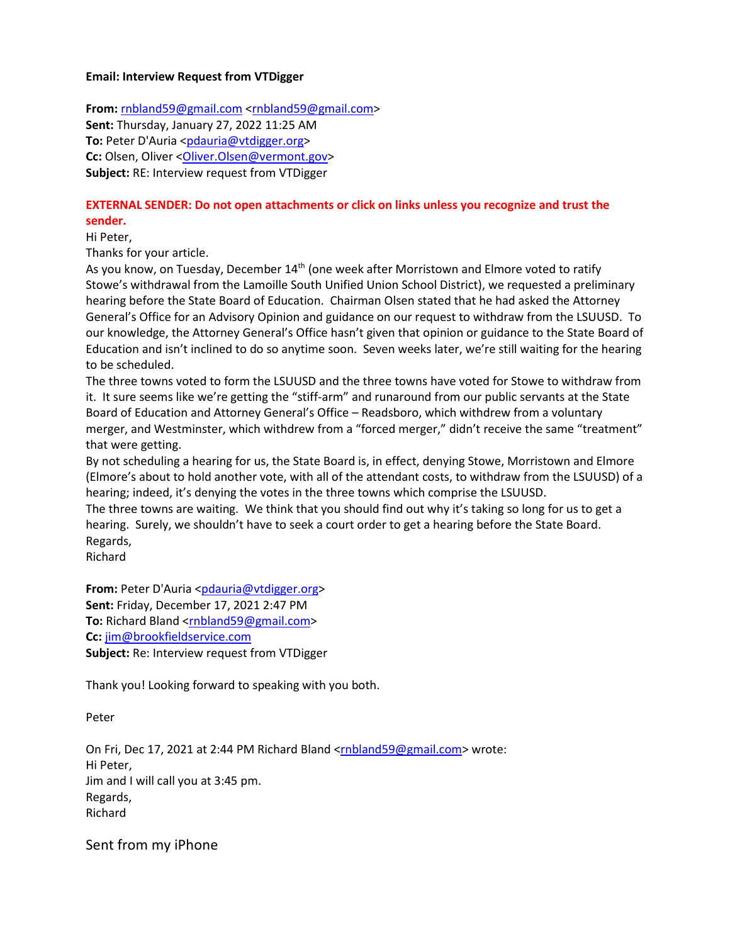## **Email: Interview Request from VTDigger**

**From:** [rnbland59@gmail.com](mailto:rnbland59@gmail.com) [<rnbland59@gmail.com>](mailto:rnbland59@gmail.com) **Sent:** Thursday, January 27, 2022 11:25 AM **To:** Peter D'Auria [<pdauria@vtdigger.org>](mailto:pdauria@vtdigger.org) **Cc:** Olsen, Oliver < Oliver. Olsen@vermont.gov> **Subject:** RE: Interview request from VTDigger

## **EXTERNAL SENDER: Do not open attachments or click on links unless you recognize and trust the sender.**

Hi Peter,

Thanks for your article.

As you know, on Tuesday, December 14<sup>th</sup> (one week after Morristown and Elmore voted to ratify Stowe's withdrawal from the Lamoille South Unified Union School District), we requested a preliminary hearing before the State Board of Education. Chairman Olsen stated that he had asked the Attorney General's Office for an Advisory Opinion and guidance on our request to withdraw from the LSUUSD. To our knowledge, the Attorney General's Office hasn't given that opinion or guidance to the State Board of Education and isn't inclined to do so anytime soon. Seven weeks later, we're still waiting for the hearing to be scheduled.

The three towns voted to form the LSUUSD and the three towns have voted for Stowe to withdraw from it. It sure seems like we're getting the "stiff-arm" and runaround from our public servants at the State Board of Education and Attorney General's Office – Readsboro, which withdrew from a voluntary merger, and Westminster, which withdrew from a "forced merger," didn't receive the same "treatment" that were getting.

By not scheduling a hearing for us, the State Board is, in effect, denying Stowe, Morristown and Elmore (Elmore's about to hold another vote, with all of the attendant costs, to withdraw from the LSUUSD) of a hearing; indeed, it's denying the votes in the three towns which comprise the LSUUSD.

The three towns are waiting. We think that you should find out why it's taking so long for us to get a hearing. Surely, we shouldn't have to seek a court order to get a hearing before the State Board. Regards,

Richard

From: Peter D'Auria [<pdauria@vtdigger.org>](mailto:pdauria@vtdigger.org) **Sent:** Friday, December 17, 2021 2:47 PM **To:** Richard Bland [<rnbland59@gmail.com>](mailto:rnbland59@gmail.com) **Cc:** [jim@brookfieldservice.com](mailto:jim@brookfieldservice.com) **Subject:** Re: Interview request from VTDigger

Thank you! Looking forward to speaking with you both.

Peter

On Fri, Dec 17, 2021 at 2:44 PM Richard Bland [<rnbland59@gmail.com>](mailto:rnbland59@gmail.com) wrote: Hi Peter, Jim and I will call you at 3:45 pm. Regards, Richard

Sent from my iPhone